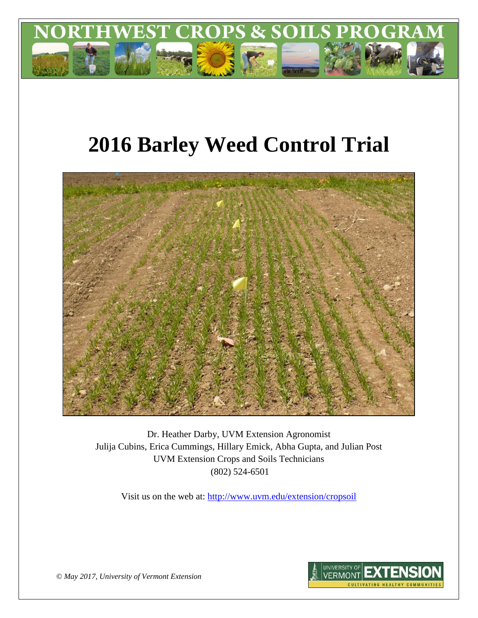

# **2016 Barley Weed Control Trial**



Dr. Heather Darby, UVM Extension Agronomist Julija Cubins, Erica Cummings, Hillary Emick, Abha Gupta, and Julian Post UVM Extension Crops and Soils Technicians (802) 524-6501

Visit us on the web at: <http://www.uvm.edu/extension/cropsoil>



*© May 2017, University of Vermont Extension*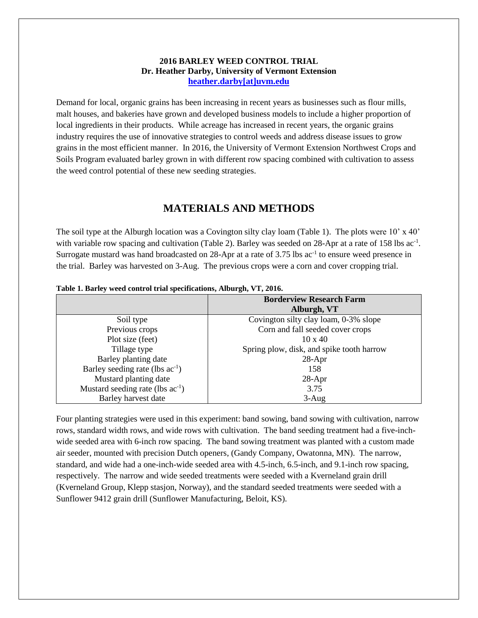# **2016 BARLEY WEED CONTROL TRIAL Dr. Heather Darby, University of Vermont Extension [heather.darby\[at\]uvm.edu](mailto:heather.darby@uvm.edu?subject=2012%20Short%20Season%20Corn%20Report)**

Demand for local, organic grains has been increasing in recent years as businesses such as flour mills, malt houses, and bakeries have grown and developed business models to include a higher proportion of local ingredients in their products. While acreage has increased in recent years, the organic grains industry requires the use of innovative strategies to control weeds and address disease issues to grow grains in the most efficient manner. In 2016, the University of Vermont Extension Northwest Crops and Soils Program evaluated barley grown in with different row spacing combined with cultivation to assess the weed control potential of these new seeding strategies.

# **MATERIALS AND METHODS**

The soil type at the Alburgh location was a Covington silty clay loam (Table 1). The plots were 10' x 40' with variable row spacing and cultivation (Table 2). Barley was seeded on 28-Apr at a rate of 158 lbs ac<sup>-1</sup>. Surrogate mustard was hand broadcasted on 28-Apr at a rate of 3.75 lbs ac<sup>-1</sup> to ensure weed presence in the trial. Barley was harvested on 3-Aug. The previous crops were a corn and cover cropping trial.

|                                             | <b>Borderview Research Farm</b>           |
|---------------------------------------------|-------------------------------------------|
|                                             | Alburgh, VT                               |
| Soil type                                   | Covington silty clay loam, 0-3% slope     |
| Previous crops                              | Corn and fall seeded cover crops          |
| Plot size (feet)                            | $10 \times 40$                            |
| Tillage type                                | Spring plow, disk, and spike tooth harrow |
| Barley planting date                        | $28-Apr$                                  |
| Barley seeding rate (lbs ac <sup>-1</sup> ) | 158                                       |
| Mustard planting date                       | $28-Apr$                                  |
| Mustard seeding rate (lbs $ac^{-1}$ )       | 3.75                                      |
| Barley harvest date                         | $3-Aug$                                   |

## **Table 1. Barley weed control trial specifications, Alburgh, VT, 2016.**

Four planting strategies were used in this experiment: band sowing, band sowing with cultivation, narrow rows, standard width rows, and wide rows with cultivation. The band seeding treatment had a five-inchwide seeded area with 6-inch row spacing. The band sowing treatment was planted with a custom made air seeder, mounted with precision Dutch openers, (Gandy Company, Owatonna, MN). The narrow, standard, and wide had a one-inch-wide seeded area with 4.5-inch, 6.5-inch, and 9.1-inch row spacing, respectively. The narrow and wide seeded treatments were seeded with a Kverneland grain drill (Kverneland Group, Klepp stasjon, Norway), and the standard seeded treatments were seeded with a Sunflower 9412 grain drill (Sunflower Manufacturing, Beloit, KS).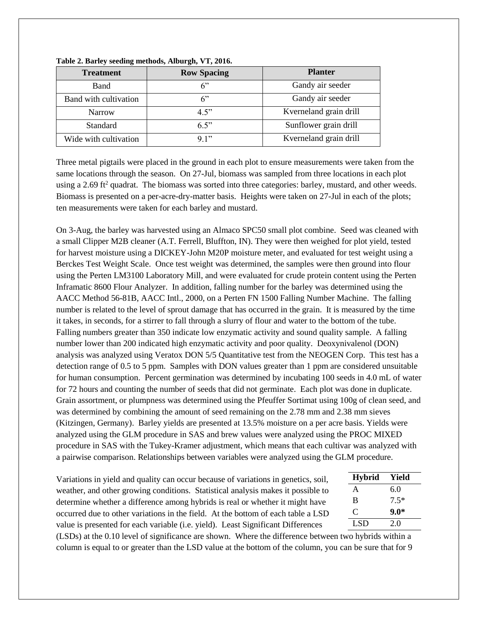| <b>Treatment</b>      | <b>Row Spacing</b> | <b>Planter</b>         |
|-----------------------|--------------------|------------------------|
| <b>Band</b>           | 6"                 | Gandy air seeder       |
| Band with cultivation | 6"                 | Gandy air seeder       |
| <b>Narrow</b>         | 4.5"               | Kverneland grain drill |
| <b>Standard</b>       | 6.5"               | Sunflower grain drill  |
| Wide with cultivation | 9.1"               | Kverneland grain drill |

## **Table 2. Barley seeding methods, Alburgh, VT, 2016.**

Three metal pigtails were placed in the ground in each plot to ensure measurements were taken from the same locations through the season. On 27-Jul, biomass was sampled from three locations in each plot using a 2.69 ft<sup>2</sup> quadrat. The biomass was sorted into three categories: barley, mustard, and other weeds. Biomass is presented on a per-acre-dry-matter basis. Heights were taken on 27-Jul in each of the plots; ten measurements were taken for each barley and mustard.

On 3-Aug, the barley was harvested using an Almaco SPC50 small plot combine. Seed was cleaned with a small Clipper M2B cleaner (A.T. Ferrell, Bluffton, IN). They were then weighed for plot yield, tested for harvest moisture using a DICKEY-John M20P moisture meter, and evaluated for test weight using a Berckes Test Weight Scale. Once test weight was determined, the samples were then ground into flour using the Perten LM3100 Laboratory Mill, and were evaluated for crude protein content using the Perten Inframatic 8600 Flour Analyzer. In addition, falling number for the barley was determined using the AACC Method 56-81B, AACC Intl., 2000, on a Perten FN 1500 Falling Number Machine. The falling number is related to the level of sprout damage that has occurred in the grain. It is measured by the time it takes, in seconds, for a stirrer to fall through a slurry of flour and water to the bottom of the tube. Falling numbers greater than 350 indicate low enzymatic activity and sound quality sample. A falling number lower than 200 indicated high enzymatic activity and poor quality. Deoxynivalenol (DON) analysis was analyzed using Veratox DON 5/5 Quantitative test from the NEOGEN Corp. This test has a detection range of 0.5 to 5 ppm. Samples with DON values greater than 1 ppm are considered unsuitable for human consumption. Percent germination was determined by incubating 100 seeds in 4.0 mL of water for 72 hours and counting the number of seeds that did not germinate. Each plot was done in duplicate. Grain assortment, or plumpness was determined using the Pfeuffer Sortimat using 100g of clean seed, and was determined by combining the amount of seed remaining on the 2.78 mm and 2.38 mm sieves (Kitzingen, Germany). Barley yields are presented at 13.5% moisture on a per acre basis. Yields were analyzed using the GLM procedure in SAS and brew values were analyzed using the PROC MIXED procedure in SAS with the Tukey-Kramer adjustment, which means that each cultivar was analyzed with a pairwise comparison. Relationships between variables were analyzed using the GLM procedure.

Variations in yield and quality can occur because of variations in genetics, soil, weather, and other growing conditions. Statistical analysis makes it possible to determine whether a difference among hybrids is real or whether it might have occurred due to other variations in the field. At the bottom of each table a LSD value is presented for each variable (i.e. yield). Least Significant Differences

| Yield  |
|--------|
| 6.0    |
| $7.5*$ |
| $9.0*$ |
| 2.0    |
|        |

(LSDs) at the 0.10 level of significance are shown. Where the difference between two hybrids within a column is equal to or greater than the LSD value at the bottom of the column, you can be sure that for 9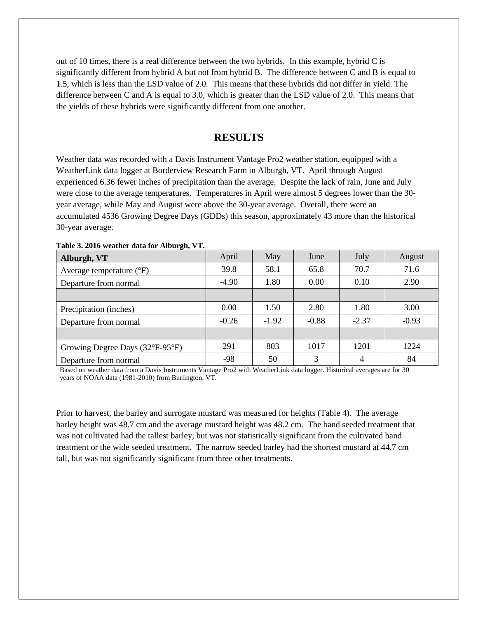out of 10 times, there is a real difference between the two hybrids. In this example, hybrid C is significantly different from hybrid A but not from hybrid B. The difference between C and B is equal to 1.5, which is less than the LSD value of 2.0. This means that these hybrids did not differ in yield. The difference between C and A is equal to 3.0, which is greater than the LSD value of 2.0. This means that the yields of these hybrids were significantly different from one another.

# **RESULTS**

Weather data was recorded with a Davis Instrument Vantage Pro2 weather station, equipped with a WeatherLink data logger at Borderview Research Farm in Alburgh, VT. April through August experienced 6.36 fewer inches of precipitation than the average. Despite the lack of rain, June and July were close to the average temperatures. Temperatures in April were almost 5 degrees lower than the 30 year average, while May and August were above the 30-year average. Overall, there were an accumulated 4536 Growing Degree Days (GDDs) this season, approximately 43 more than the historical 30-year average.

| Alburgh, VT                         | April   | May     | June    | July    | August  |
|-------------------------------------|---------|---------|---------|---------|---------|
| Average temperature $({}^{\circ}F)$ | 39.8    | 58.1    | 65.8    | 70.7    | 71.6    |
| Departure from normal               | $-4.90$ | 1.80    | 0.00    | 0.10    | 2.90    |
|                                     |         |         |         |         |         |
| Precipitation (inches)              | 0.00    | 1.50    | 2.80    | 1.80    | 3.00    |
| Departure from normal               | $-0.26$ | $-1.92$ | $-0.88$ | $-2.37$ | $-0.93$ |
|                                     |         |         |         |         |         |
| Growing Degree Days (32°F-95°F)     | 291     | 803     | 1017    | 1201    | 1224    |
| Departure from normal               | -98     | 50      | 3       | 4       | 84      |

**Table 3. 2016 weather data for Alburgh, VT.**

Based on weather data from a Davis Instruments Vantage Pro2 with WeatherLink data logger. Historical averages are for 30 years of NOAA data (1981-2010) from Burlington, VT.

Prior to harvest, the barley and surrogate mustard was measured for heights (Table 4). The average barley height was 48.7 cm and the average mustard height was 48.2 cm. The band seeded treatment that was not cultivated had the tallest barley, but was not statistically significant from the cultivated band treatment or the wide seeded treatment. The narrow seeded barley had the shortest mustard at 44.7 cm tall, but was not significantly significant from three other treatments.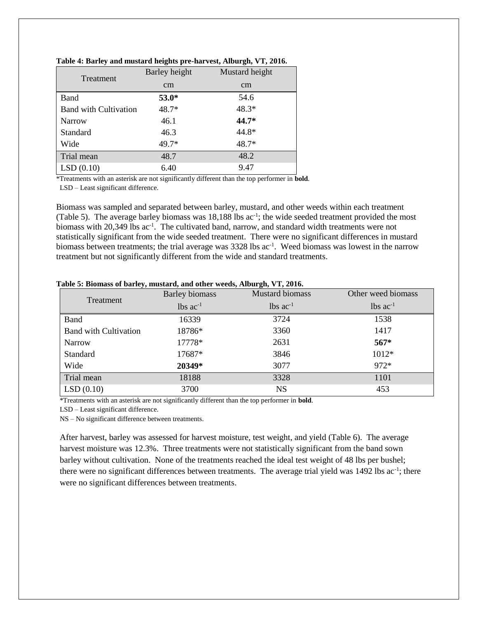| Treatment                    | Barley height | Mustard height |
|------------------------------|---------------|----------------|
|                              | cm            | cm             |
| Band                         | $53.0*$       | 54.6           |
| <b>Band with Cultivation</b> | $48.7*$       | 48.3*          |
| Narrow                       | 46.1          | 44.7*          |
| Standard                     | 46.3          | 44.8*          |
| Wide                         | 49.7*         | $48.7*$        |
| Trial mean                   | 48.7          | 48.2           |
| LSD(0.10)                    | 6.40          | 9.47           |

## **Table 4: Barley and mustard heights pre-harvest, Alburgh, VT, 2016.**

\*Treatments with an asterisk are not significantly different than the top performer in **bold**.

LSD – Least significant difference.

Biomass was sampled and separated between barley, mustard, and other weeds within each treatment (Table 5). The average barley biomass was 18,188 lbs ac<sup>-1</sup>; the wide seeded treatment provided the most biomass with 20,349 lbs ac<sup>-1</sup>. The cultivated band, narrow, and standard width treatments were not statistically significant from the wide seeded treatment. There were no significant differences in mustard biomass between treatments; the trial average was 3328 lbs  $ac^{-1}$ . Weed biomass was lowest in the narrow treatment but not significantly different from the wide and standard treatments.

| Treatment                    | <b>Mustard biomass</b><br><b>Barley biomass</b> |                        | Other weed biomass     |  |
|------------------------------|-------------------------------------------------|------------------------|------------------------|--|
|                              | $lbs$ $ac^{-1}$                                 | $lbs$ ac <sup>-1</sup> | $lbs$ ac <sup>-1</sup> |  |
| <b>Band</b>                  | 16339                                           | 3724                   | 1538                   |  |
| <b>Band with Cultivation</b> | 18786*                                          | 3360                   | 1417                   |  |
| <b>Narrow</b>                | 17778*                                          | 2631                   | $567*$                 |  |
| Standard                     | 17687*                                          | 3846                   | 1012*                  |  |
| Wide                         | 20349*                                          | 3077                   | $972*$                 |  |
| Trial mean                   | 18188                                           | 3328                   | 1101                   |  |
| LSD(0.10)                    | 3700                                            | <b>NS</b>              | 453                    |  |

## **Table 5: Biomass of barley, mustard, and other weeds, Alburgh, VT, 2016.**

\*Treatments with an asterisk are not significantly different than the top performer in **bold**.

LSD – Least significant difference.

NS – No significant difference between treatments.

After harvest, barley was assessed for harvest moisture, test weight, and yield (Table 6). The average harvest moisture was 12.3%. Three treatments were not statistically significant from the band sown barley without cultivation. None of the treatments reached the ideal test weight of 48 lbs per bushel; there were no significant differences between treatments. The average trial yield was 1492 lbs ac<sup>-1</sup>; there were no significant differences between treatments.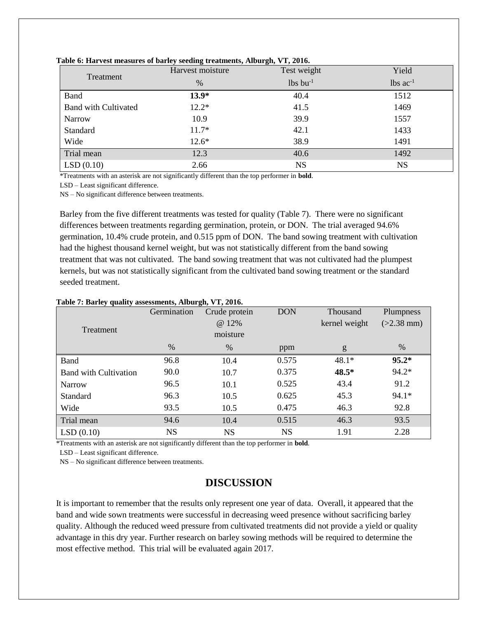| Treatment                   | Test weight<br>Harvest moisture |                        | Yield                  |  |
|-----------------------------|---------------------------------|------------------------|------------------------|--|
|                             | $\%$                            | $lbs$ bu <sup>-1</sup> | $lbs$ ac <sup>-1</sup> |  |
| <b>Band</b>                 | $13.9*$                         | 40.4                   | 1512                   |  |
| <b>Band with Cultivated</b> | $12.2*$                         | 41.5                   | 1469                   |  |
| Narrow                      | 10.9                            | 39.9                   | 1557                   |  |
| Standard                    | $11.7*$                         | 42.1                   | 1433                   |  |
| Wide                        | $12.6*$                         | 38.9                   | 1491                   |  |
| Trial mean                  | 12.3                            | 40.6                   | 1492                   |  |
| LSD(0.10)                   | 2.66                            | <b>NS</b>              | <b>NS</b>              |  |

## **Table 6: Harvest measures of barley seeding treatments, Alburgh, VT, 2016.**

\*Treatments with an asterisk are not significantly different than the top performer in **bold**.

LSD – Least significant difference.

NS – No significant difference between treatments.

Barley from the five different treatments was tested for quality (Table 7). There were no significant differences between treatments regarding germination, protein, or DON. The trial averaged 94.6% germination, 10.4% crude protein, and 0.515 ppm of DON. The band sowing treatment with cultivation had the highest thousand kernel weight, but was not statistically different from the band sowing treatment that was not cultivated. The band sowing treatment that was not cultivated had the plumpest kernels, but was not statistically significant from the cultivated band sowing treatment or the standard seeded treatment.

| Treatment                    | Germination | Crude protein<br>@ 12%<br>moisture | <b>DON</b> | Thousand<br>kernel weight | Plumpness<br>$(>2.38$ mm) |
|------------------------------|-------------|------------------------------------|------------|---------------------------|---------------------------|
|                              | $\%$        | $\%$                               | ppm        | g                         | $\%$                      |
| Band                         | 96.8        | 10.4                               | 0.575      | $48.1*$                   | $95.2*$                   |
| <b>Band with Cultivation</b> | 90.0        | 10.7                               | 0.375      | 48.5*                     | $94.2*$                   |
| Narrow                       | 96.5        | 10.1                               | 0.525      | 43.4                      | 91.2                      |
| Standard                     | 96.3        | 10.5                               | 0.625      | 45.3                      | 94.1*                     |
| Wide                         | 93.5        | 10.5                               | 0.475      | 46.3                      | 92.8                      |
| Trial mean                   | 94.6        | 10.4                               | 0.515      | 46.3                      | 93.5                      |
| LSD(0.10)                    | <b>NS</b>   | <b>NS</b>                          | <b>NS</b>  | 1.91                      | 2.28                      |

## **Table 7: Barley quality assessments, Alburgh, VT, 2016.**

\*Treatments with an asterisk are not significantly different than the top performer in **bold**.

LSD – Least significant difference.

NS – No significant difference between treatments.

# **DISCUSSION**

It is important to remember that the results only represent one year of data. Overall, it appeared that the band and wide sown treatments were successful in decreasing weed presence without sacrificing barley quality. Although the reduced weed pressure from cultivated treatments did not provide a yield or quality advantage in this dry year. Further research on barley sowing methods will be required to determine the most effective method. This trial will be evaluated again 2017.